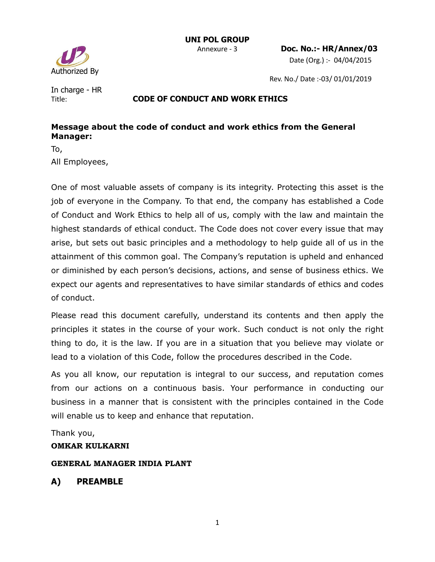

Date (Org.) :- 04/04/2015

Rev. No./ Date :-03/ 01/01/2019

In charge - HR

#### Title: **CODE OF CONDUCT AND WORK ETHICS**

### **Message about the code of conduct and work ethics from the General Manager:**

To,

All Employees,

One of most valuable assets of company is its integrity. Protecting this asset is the job of everyone in the Company. To that end, the company has established a Code of Conduct and Work Ethics to help all of us, comply with the law and maintain the highest standards of ethical conduct. The Code does not cover every issue that may arise, but sets out basic principles and a methodology to help guide all of us in the attainment of this common goal. The Company's reputation is upheld and enhanced or diminished by each person's decisions, actions, and sense of business ethics. We expect our agents and representatives to have similar standards of ethics and codes of conduct.

Please read this document carefully, understand its contents and then apply the principles it states in the course of your work. Such conduct is not only the right thing to do, it is the law. If you are in a situation that you believe may violate or lead to a violation of this Code, follow the procedures described in the Code.

As you all know, our reputation is integral to our success, and reputation comes from our actions on a continuous basis. Your performance in conducting our business in a manner that is consistent with the principles contained in the Code will enable us to keep and enhance that reputation.

Thank you,

#### **OMKAR KULKARNI**

#### **GENERAL MANAGER INDIA PLANT**

# **A) PREAMBLE**

1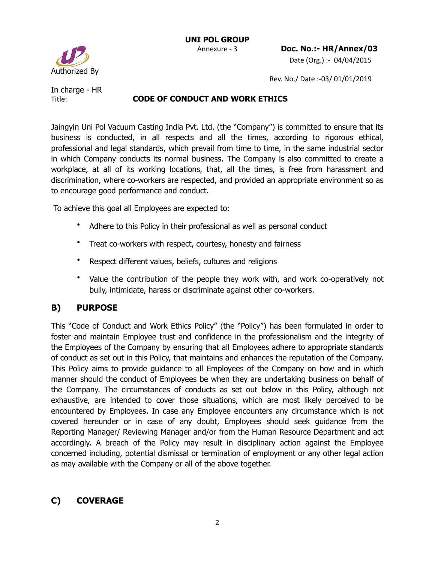

Rev. No./ Date :-03/ 01/01/2019

In charge - HR

#### Title: **CODE OF CONDUCT AND WORK ETHICS**

Jaingyin Uni Pol Vacuum Casting India Pvt. Ltd. (the "Company") is committed to ensure that its business is conducted, in all respects and all the times, according to rigorous ethical, professional and legal standards, which prevail from time to time, in the same industrial sector in which Company conducts its normal business. The Company is also committed to create a workplace, at all of its working locations, that, all the times, is free from harassment and discrimination, where co-workers are respected, and provided an appropriate environment so as to encourage good performance and conduct.

To achieve this goal all Employees are expected to:

- Adhere to this Policy in their professional as well as personal conduct
- Treat co-workers with respect, courtesy, honesty and fairness
- Respect different values, beliefs, cultures and religions
- Value the contribution of the people they work with, and work co-operatively not bully, intimidate, harass or discriminate against other co-workers.

# **B) PURPOSE**

This "Code of Conduct and Work Ethics Policy" (the "Policy") has been formulated in order to foster and maintain Employee trust and confidence in the professionalism and the integrity of the Employees of the Company by ensuring that all Employees adhere to appropriate standards of conduct as set out in this Policy, that maintains and enhances the reputation of the Company. This Policy aims to provide guidance to all Employees of the Company on how and in which manner should the conduct of Employees be when they are undertaking business on behalf of the Company. The circumstances of conducts as set out below in this Policy, although not exhaustive, are intended to cover those situations, which are most likely perceived to be encountered by Employees. In case any Employee encounters any circumstance which is not covered hereunder or in case of any doubt, Employees should seek guidance from the Reporting Manager/ Reviewing Manager and/or from the Human Resource Department and act accordingly. A breach of the Policy may result in disciplinary action against the Employee concerned including, potential dismissal or termination of employment or any other legal action as may available with the Company or all of the above together.

# **C) COVERAGE**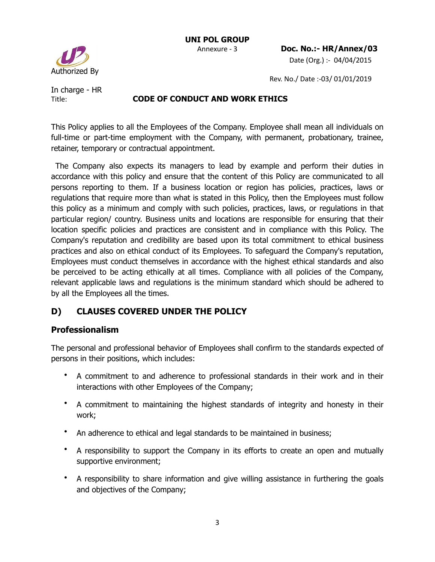Rev. No./ Date :-03/ 01/01/2019

In charge - HR

Authorized By

#### Title: **CODE OF CONDUCT AND WORK ETHICS**

This Policy applies to all the Employees of the Company. Employee shall mean all individuals on full-time or part-time employment with the Company, with permanent, probationary, trainee, retainer, temporary or contractual appointment.

 The Company also expects its managers to lead by example and perform their duties in accordance with this policy and ensure that the content of this Policy are communicated to all persons reporting to them. If a business location or region has policies, practices, laws or regulations that require more than what is stated in this Policy, then the Employees must follow this policy as a minimum and comply with such policies, practices, laws, or regulations in that particular region/ country. Business units and locations are responsible for ensuring that their location specific policies and practices are consistent and in compliance with this Policy. The Company's reputation and credibility are based upon its total commitment to ethical business practices and also on ethical conduct of its Employees. To safeguard the Company's reputation, Employees must conduct themselves in accordance with the highest ethical standards and also be perceived to be acting ethically at all times. Compliance with all policies of the Company, relevant applicable laws and regulations is the minimum standard which should be adhered to by all the Employees all the times.

# **D) CLAUSES COVERED UNDER THE POLICY**

### **Professionalism**

The personal and professional behavior of Employees shall confirm to the standards expected of persons in their positions, which includes:

- A commitment to and adherence to professional standards in their work and in their interactions with other Employees of the Company;
- A commitment to maintaining the highest standards of integrity and honesty in their work;
- An adherence to ethical and legal standards to be maintained in business;
- A responsibility to support the Company in its efforts to create an open and mutually supportive environment;
- A responsibility to share information and give willing assistance in furthering the goals and objectives of the Company;

3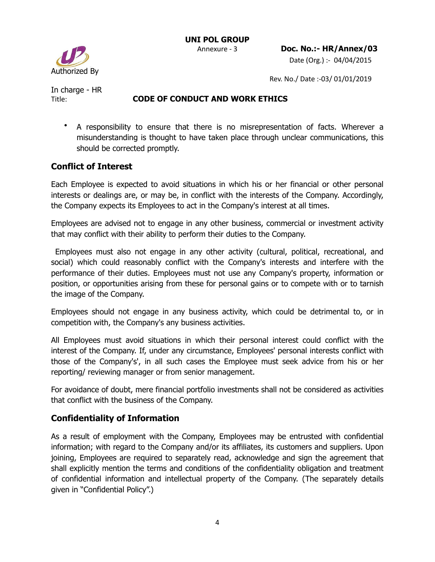Authorized By

Rev. No./ Date :-03/ 01/01/2019

In charge - HR

### Title: **CODE OF CONDUCT AND WORK ETHICS**

• A responsibility to ensure that there is no misrepresentation of facts. Wherever a misunderstanding is thought to have taken place through unclear communications, this should be corrected promptly.

# **Conflict of Interest**

Each Employee is expected to avoid situations in which his or her financial or other personal interests or dealings are, or may be, in conflict with the interests of the Company. Accordingly, the Company expects its Employees to act in the Company's interest at all times.

Employees are advised not to engage in any other business, commercial or investment activity that may conflict with their ability to perform their duties to the Company.

 Employees must also not engage in any other activity (cultural, political, recreational, and social) which could reasonably conflict with the Company's interests and interfere with the performance of their duties. Employees must not use any Company's property, information or position, or opportunities arising from these for personal gains or to compete with or to tarnish the image of the Company.

Employees should not engage in any business activity, which could be detrimental to, or in competition with, the Company's any business activities.

All Employees must avoid situations in which their personal interest could conflict with the interest of the Company. If, under any circumstance, Employees' personal interests conflict with those of the Company's', in all such cases the Employee must seek advice from his or her reporting/ reviewing manager or from senior management.

For avoidance of doubt, mere financial portfolio investments shall not be considered as activities that conflict with the business of the Company.

# **Confidentiality of Information**

As a result of employment with the Company, Employees may be entrusted with confidential information; with regard to the Company and/or its affiliates, its customers and suppliers. Upon joining, Employees are required to separately read, acknowledge and sign the agreement that shall explicitly mention the terms and conditions of the confidentiality obligation and treatment of confidential information and intellectual property of the Company. (The separately details given in "Confidential Policy".)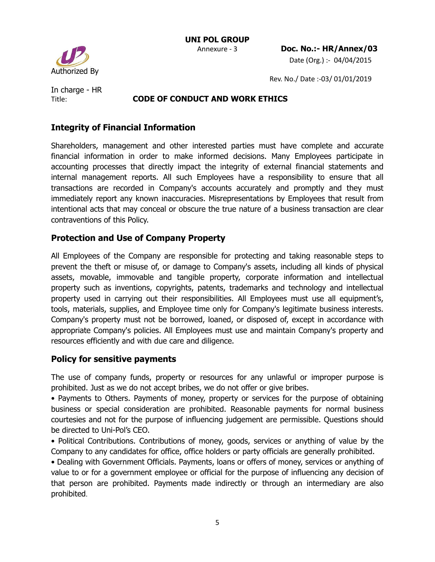

Rev. No./ Date :-03/ 01/01/2019

In charge - HR

### Title: **CODE OF CONDUCT AND WORK ETHICS**

## **Integrity of Financial Information**

Shareholders, management and other interested parties must have complete and accurate financial information in order to make informed decisions. Many Employees participate in accounting processes that directly impact the integrity of external financial statements and internal management reports. All such Employees have a responsibility to ensure that all transactions are recorded in Company's accounts accurately and promptly and they must immediately report any known inaccuracies. Misrepresentations by Employees that result from intentional acts that may conceal or obscure the true nature of a business transaction are clear contraventions of this Policy.

### **Protection and Use of Company Property**

All Employees of the Company are responsible for protecting and taking reasonable steps to prevent the theft or misuse of, or damage to Company's assets, including all kinds of physical assets, movable, immovable and tangible property, corporate information and intellectual property such as inventions, copyrights, patents, trademarks and technology and intellectual property used in carrying out their responsibilities. All Employees must use all equipment's, tools, materials, supplies, and Employee time only for Company's legitimate business interests. Company's property must not be borrowed, loaned, or disposed of, except in accordance with appropriate Company's policies. All Employees must use and maintain Company's property and resources efficiently and with due care and diligence.

### **Policy for sensitive payments**

The use of company funds, property or resources for any unlawful or improper purpose is prohibited. Just as we do not accept bribes, we do not offer or give bribes.

• Payments to Others. Payments of money, property or services for the purpose of obtaining business or special consideration are prohibited. Reasonable payments for normal business courtesies and not for the purpose of influencing judgement are permissible. Questions should be directed to Uni-Pol's CEO.

• Political Contributions. Contributions of money, goods, services or anything of value by the Company to any candidates for office, office holders or party officials are generally prohibited.

• Dealing with Government Officials. Payments, loans or offers of money, services or anything of value to or for a government employee or official for the purpose of influencing any decision of that person are prohibited. Payments made indirectly or through an intermediary are also prohibited.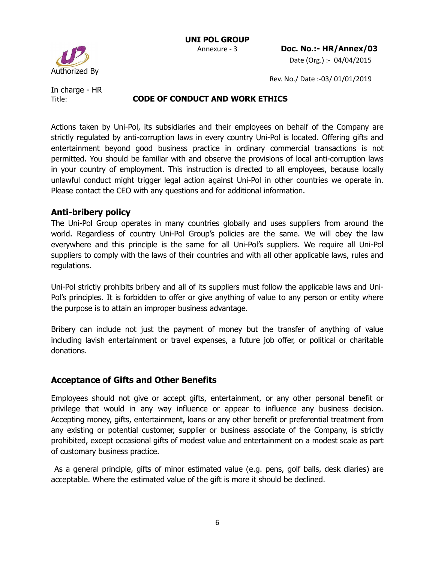

Rev. No./ Date :-03/ 01/01/2019

In charge - HR

#### Title: **CODE OF CONDUCT AND WORK ETHICS**

Actions taken by Uni-Pol, its subsidiaries and their employees on behalf of the Company are strictly regulated by anti-corruption laws in every country Uni-Pol is located. Offering gifts and entertainment beyond good business practice in ordinary commercial transactions is not permitted. You should be familiar with and observe the provisions of local anti-corruption laws in your country of employment. This instruction is directed to all employees, because locally unlawful conduct might trigger legal action against Uni-Pol in other countries we operate in. Please contact the CEO with any questions and for additional information.

#### **Anti-bribery policy**

The Uni-Pol Group operates in many countries globally and uses suppliers from around the world. Regardless of country Uni-Pol Group's policies are the same. We will obey the law everywhere and this principle is the same for all Uni-Pol's suppliers. We require all Uni-Pol suppliers to comply with the laws of their countries and with all other applicable laws, rules and regulations.

Uni-Pol strictly prohibits bribery and all of its suppliers must follow the applicable laws and Uni-Pol's principles. It is forbidden to offer or give anything of value to any person or entity where the purpose is to attain an improper business advantage.

Bribery can include not just the payment of money but the transfer of anything of value including lavish entertainment or travel expenses, a future job offer, or political or charitable donations.

### **Acceptance of Gifts and Other Benefits**

Employees should not give or accept gifts, entertainment, or any other personal benefit or privilege that would in any way influence or appear to influence any business decision. Accepting money, gifts, entertainment, loans or any other benefit or preferential treatment from any existing or potential customer, supplier or business associate of the Company, is strictly prohibited, except occasional gifts of modest value and entertainment on a modest scale as part of customary business practice.

 As a general principle, gifts of minor estimated value (e.g. pens, golf balls, desk diaries) are acceptable. Where the estimated value of the gift is more it should be declined.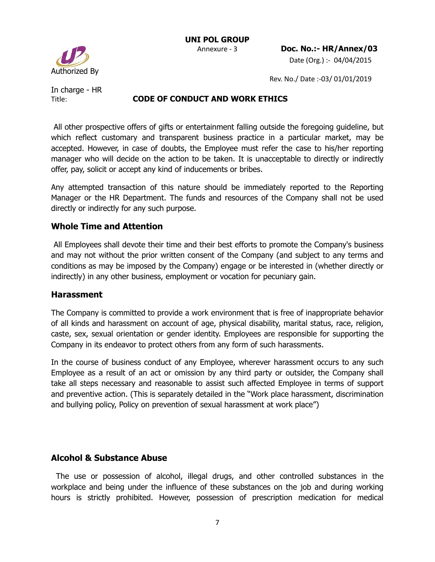Rev. No./ Date :-03/ 01/01/2019

Authorized By

In charge - HR

#### Title: **CODE OF CONDUCT AND WORK ETHICS**

 All other prospective offers of gifts or entertainment falling outside the foregoing guideline, but which reflect customary and transparent business practice in a particular market, may be accepted. However, in case of doubts, the Employee must refer the case to his/her reporting manager who will decide on the action to be taken. It is unacceptable to directly or indirectly offer, pay, solicit or accept any kind of inducements or bribes.

Any attempted transaction of this nature should be immediately reported to the Reporting Manager or the HR Department. The funds and resources of the Company shall not be used directly or indirectly for any such purpose.

#### **Whole Time and Attention**

 All Employees shall devote their time and their best efforts to promote the Company's business and may not without the prior written consent of the Company (and subject to any terms and conditions as may be imposed by the Company) engage or be interested in (whether directly or indirectly) in any other business, employment or vocation for pecuniary gain.

#### **Harassment**

The Company is committed to provide a work environment that is free of inappropriate behavior of all kinds and harassment on account of age, physical disability, marital status, race, religion, caste, sex, sexual orientation or gender identity. Employees are responsible for supporting the Company in its endeavor to protect others from any form of such harassments.

In the course of business conduct of any Employee, wherever harassment occurs to any such Employee as a result of an act or omission by any third party or outsider, the Company shall take all steps necessary and reasonable to assist such affected Employee in terms of support and preventive action. (This is separately detailed in the "Work place harassment, discrimination and bullying policy, Policy on prevention of sexual harassment at work place")

### **Alcohol & Substance Abuse**

 The use or possession of alcohol, illegal drugs, and other controlled substances in the workplace and being under the influence of these substances on the job and during working hours is strictly prohibited. However, possession of prescription medication for medical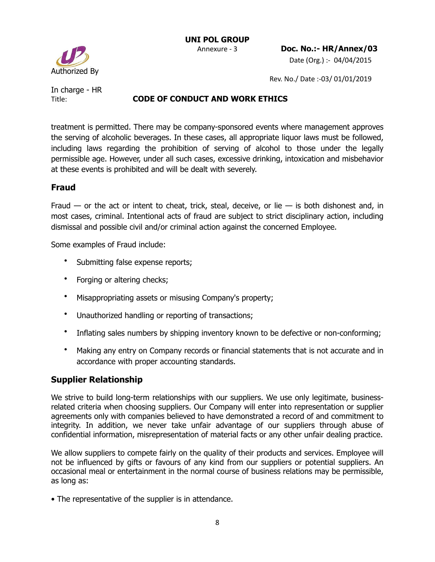Authorized By

 Annexure - 3 **Doc. No.:- HR/Annex/03** Date (Org.) :- 04/04/2015

Rev. No./ Date :-03/ 01/01/2019

In charge - HR

#### Title: **CODE OF CONDUCT AND WORK ETHICS**

treatment is permitted. There may be company-sponsored events where management approves the serving of alcoholic beverages. In these cases, all appropriate liquor laws must be followed, including laws regarding the prohibition of serving of alcohol to those under the legally permissible age. However, under all such cases, excessive drinking, intoxication and misbehavior at these events is prohibited and will be dealt with severely.

#### **Fraud**

Fraud  $-$  or the act or intent to cheat, trick, steal, deceive, or lie  $-$  is both dishonest and, in most cases, criminal. Intentional acts of fraud are subject to strict disciplinary action, including dismissal and possible civil and/or criminal action against the concerned Employee.

Some examples of Fraud include:

- Submitting false expense reports;
- Forging or altering checks;
- Misappropriating assets or misusing Company's property;
- Unauthorized handling or reporting of transactions;
- Inflating sales numbers by shipping inventory known to be defective or non-conforming;
- Making any entry on Company records or financial statements that is not accurate and in accordance with proper accounting standards.

### **Supplier Relationship**

We strive to build long-term relationships with our suppliers. We use only legitimate, businessrelated criteria when choosing suppliers. Our Company will enter into representation or supplier agreements only with companies believed to have demonstrated a record of and commitment to integrity. In addition, we never take unfair advantage of our suppliers through abuse of confidential information, misrepresentation of material facts or any other unfair dealing practice.

We allow suppliers to compete fairly on the quality of their products and services. Employee will not be influenced by gifts or favours of any kind from our suppliers or potential suppliers. An occasional meal or entertainment in the normal course of business relations may be permissible, as long as:

• The representative of the supplier is in attendance.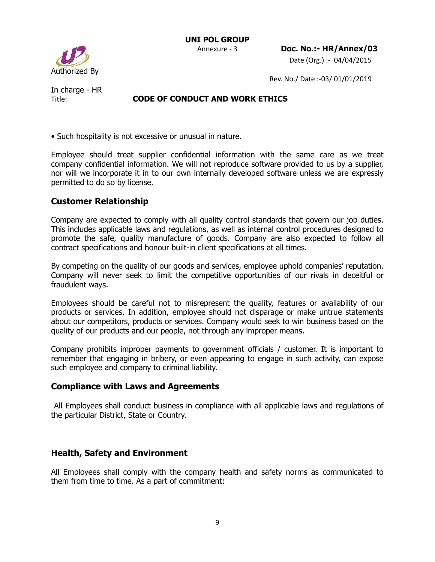Authorized By

Rev. No./ Date :-03/ 01/01/2019

In charge - HR

### Title: **CODE OF CONDUCT AND WORK ETHICS**

• Such hospitality is not excessive or unusual in nature.

Employee should treat supplier confidential information with the same care as we treat company confidential information. We will not reproduce software provided to us by a supplier, nor will we incorporate it in to our own internally developed software unless we are expressly permitted to do so by license.

### **Customer Relationship**

Company are expected to comply with all quality control standards that govern our job duties. This includes applicable laws and regulations, as well as internal control procedures designed to promote the safe, quality manufacture of goods. Company are also expected to follow all contract specifications and honour built-in client specifications at all times.

By competing on the quality of our goods and services, employee uphold companies' reputation. Company will never seek to limit the competitive opportunities of our rivals in deceitful or fraudulent ways.

Employees should be careful not to misrepresent the quality, features or availability of our products or services. In addition, employee should not disparage or make untrue statements about our competitors, products or services. Company would seek to win business based on the quality of our products and our people, not through any improper means.

Company prohibits improper payments to government officials / customer. It is important to remember that engaging in bribery, or even appearing to engage in such activity, can expose such employee and company to criminal liability.

### **Compliance with Laws and Agreements**

 All Employees shall conduct business in compliance with all applicable laws and regulations of the particular District, State or Country.

# **Health, Safety and Environment**

All Employees shall comply with the company health and safety norms as communicated to them from time to time. As a part of commitment: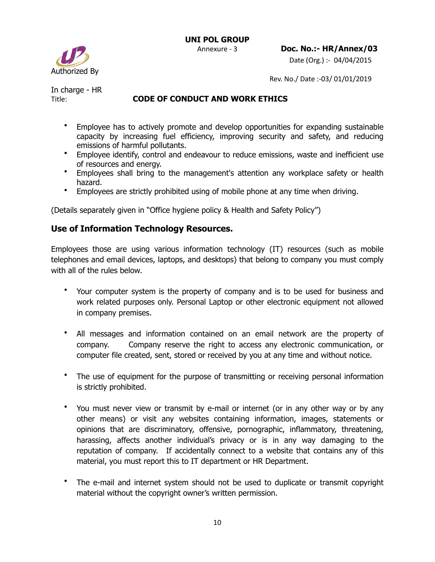

Rev. No./ Date :-03/ 01/01/2019

In charge - HR

### Title: **CODE OF CONDUCT AND WORK ETHICS**

- Employee has to actively promote and develop opportunities for expanding sustainable capacity by increasing fuel efficiency, improving security and safety, and reducing emissions of harmful pollutants.
- Employee identify, control and endeavour to reduce emissions, waste and inefficient use of resources and energy.
- Employees shall bring to the management's attention any workplace safety or health hazard.
- Employees are strictly prohibited using of mobile phone at any time when driving.

(Details separately given in "Office hygiene policy & Health and Safety Policy")

### **Use of Information Technology Resources.**

Employees those are using various information technology (IT) resources (such as mobile telephones and email devices, laptops, and desktops) that belong to company you must comply with all of the rules below.

- Your computer system is the property of company and is to be used for business and work related purposes only. Personal Laptop or other electronic equipment not allowed in company premises.
- All messages and information contained on an email network are the property of company. Company reserve the right to access any electronic communication, or computer file created, sent, stored or received by you at any time and without notice.
- The use of equipment for the purpose of transmitting or receiving personal information is strictly prohibited.
- You must never view or transmit by e-mail or internet (or in any other way or by any other means) or visit any websites containing information, images, statements or opinions that are discriminatory, offensive, pornographic, inflammatory, threatening, harassing, affects another individual's privacy or is in any way damaging to the reputation of company. If accidentally connect to a website that contains any of this material, you must report this to IT department or HR Department.
- The e-mail and internet system should not be used to duplicate or transmit copyright material without the copyright owner's written permission.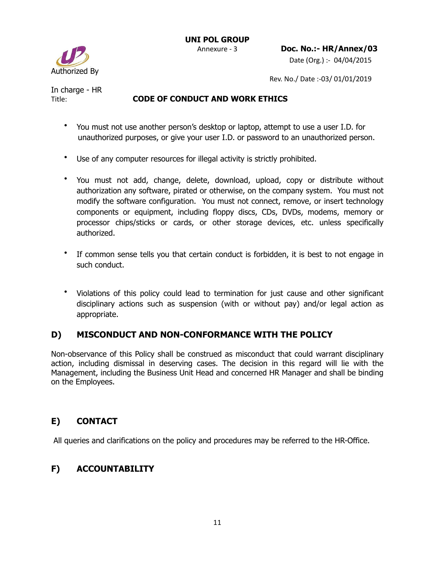

Date (Org.) :- 04/04/2015

Rev. No./ Date :-03/ 01/01/2019

In charge - HR

#### Title: **CODE OF CONDUCT AND WORK ETHICS**

- You must not use another person's desktop or laptop, attempt to use a user I.D. for unauthorized purposes, or give your user I.D. or password to an unauthorized person.
- Use of any computer resources for illegal activity is strictly prohibited.
- You must not add, change, delete, download, upload, copy or distribute without authorization any software, pirated or otherwise, on the company system. You must not modify the software configuration. You must not connect, remove, or insert technology components or equipment, including floppy discs, CDs, DVDs, modems, memory or processor chips/sticks or cards, or other storage devices, etc. unless specifically authorized.
- If common sense tells you that certain conduct is forbidden, it is best to not engage in such conduct.
- Violations of this policy could lead to termination for just cause and other significant disciplinary actions such as suspension (with or without pay) and/or legal action as appropriate.

# **D) MISCONDUCT AND NON-CONFORMANCE WITH THE POLICY**

Non-observance of this Policy shall be construed as misconduct that could warrant disciplinary action, including dismissal in deserving cases. The decision in this regard will lie with the Management, including the Business Unit Head and concerned HR Manager and shall be binding on the Employees.

# **E) CONTACT**

All queries and clarifications on the policy and procedures may be referred to the HR-Office.

# **F) ACCOUNTABILITY**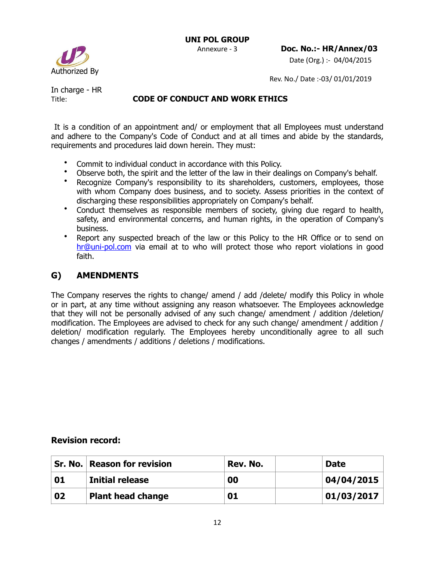

Rev. No./ Date :-03/ 01/01/2019

In charge - HR

### Title: **CODE OF CONDUCT AND WORK ETHICS**

 It is a condition of an appointment and/ or employment that all Employees must understand and adhere to the Company's Code of Conduct and at all times and abide by the standards, requirements and procedures laid down herein. They must:

- Commit to individual conduct in accordance with this Policy.
- Observe both, the spirit and the letter of the law in their dealings on Company's behalf.
- Recognize Company's responsibility to its shareholders, customers, employees, those with whom Company does business, and to society. Assess priorities in the context of discharging these responsibilities appropriately on Company's behalf.
- Conduct themselves as responsible members of society, giving due regard to health, safety, and environmental concerns, and human rights, in the operation of Company's business.
- Report any suspected breach of the law or this Policy to the HR Office or to send on [hr@uni-pol.com](mailto:hr@uni-pol.com) via email at to who will protect those who report violations in good faith.

### **G) AMENDMENTS**

The Company reserves the rights to change/ amend / add /delete/ modify this Policy in whole or in part, at any time without assigning any reason whatsoever. The Employees acknowledge that they will not be personally advised of any such change/ amendment / addition /deletion/ modification. The Employees are advised to check for any such change/ amendment / addition / deletion/ modification regularly. The Employees hereby unconditionally agree to all such changes / amendments / additions / deletions / modifications.

### **Revision record:**

|    | <b>Sr. No. Reason for revision</b> | Rev. No. | <b>Date</b> |
|----|------------------------------------|----------|-------------|
| 01 | <b>Initial release</b>             | 00       | 04/04/2015  |
| 02 | <b>Plant head change</b>           | 01       | 01/03/2017  |